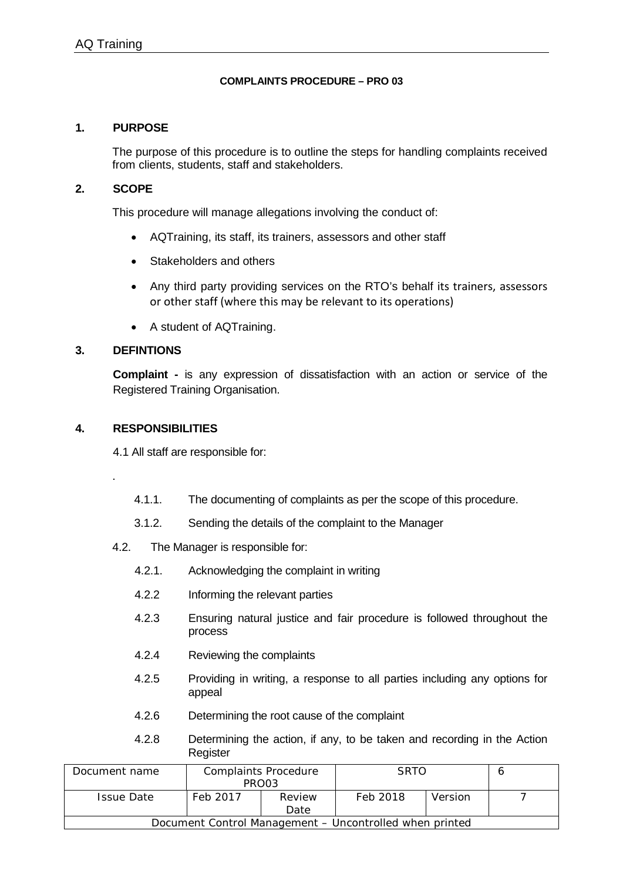#### **COMPLAINTS PROCEDURE – PRO 03**

#### **1. PURPOSE**

The purpose of this procedure is to outline the steps for handling complaints received from clients, students, staff and stakeholders.

#### **2. SCOPE**

This procedure will manage allegations involving the conduct of:

- AQTraining, its staff, its trainers, assessors and other staff
- Stakeholders and others
- Any third party providing services on the RTO's behalf its trainers, assessors or other staff (where this may be relevant to its operations)
- A student of AQTraining.

## **3. DEFINTIONS**

.

**Complaint -** is any expression of dissatisfaction with an action or service of the Registered Training Organisation.

## **4. RESPONSIBILITIES**

4.1 All staff are responsible for:

- 4.1.1. The documenting of complaints as per the scope of this procedure.
- 3.1.2. Sending the details of the complaint to the Manager
- 4.2. The Manager is responsible for:
	- 4.2.1. Acknowledging the complaint in writing
	- 4.2.2 Informing the relevant parties
	- 4.2.3 Ensuring natural justice and fair procedure is followed throughout the process
	- 4.2.4 Reviewing the complaints
	- 4.2.5 Providing in writing, a response to all parties including any options for appeal
	- 4.2.6 Determining the root cause of the complaint
	- 4.2.8 Determining the action, if any, to be taken and recording in the Action Register

| Document name                                           | <b>Complaints Procedure</b><br>PRO03 |                | <b>SRTO</b> |         |  |  |
|---------------------------------------------------------|--------------------------------------|----------------|-------------|---------|--|--|
| <b>Issue Date</b>                                       | Feb 2017                             | Review<br>Date | Feb 2018    | Version |  |  |
| Document Control Management – Uncontrolled when printed |                                      |                |             |         |  |  |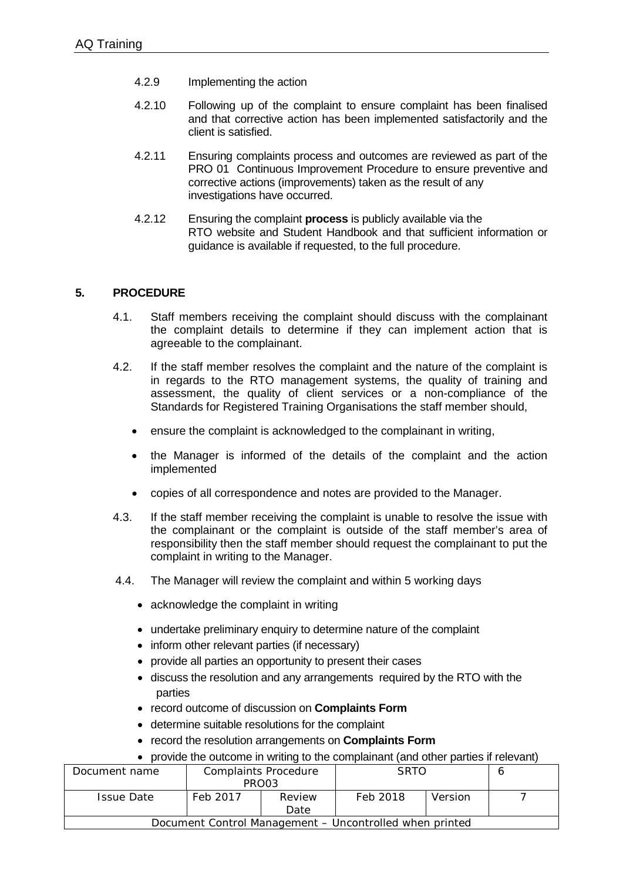- 4.2.9 Implementing the action
- 4.2.10 Following up of the complaint to ensure complaint has been finalised and that corrective action has been implemented satisfactorily and the client is satisfied.
- 4.2.11 Ensuring complaints process and outcomes are reviewed as part of the PRO 01 Continuous Improvement Procedure to ensure preventive and corrective actions (improvements) taken as the result of any investigations have occurred.
- 4.2.12 Ensuring the complaint **process** is publicly available via the RTO website and Student Handbook and that sufficient information or guidance is available if requested, to the full procedure.

# **5. PROCEDURE**

- 4.1. Staff members receiving the complaint should discuss with the complainant the complaint details to determine if they can implement action that is agreeable to the complainant.
- 4.2. If the staff member resolves the complaint and the nature of the complaint is in regards to the RTO management systems, the quality of training and assessment, the quality of client services or a non-compliance of the Standards for Registered Training Organisations the staff member should,
	- ensure the complaint is acknowledged to the complainant in writing,
	- the Manager is informed of the details of the complaint and the action implemented
	- copies of all correspondence and notes are provided to the Manager.
- 4.3. If the staff member receiving the complaint is unable to resolve the issue with the complainant or the complaint is outside of the staff member's area of responsibility then the staff member should request the complainant to put the complaint in writing to the Manager.
- 4.4. The Manager will review the complaint and within 5 working days
	- acknowledge the complaint in writing
	- undertake preliminary enquiry to determine nature of the complaint
	- inform other relevant parties (if necessary)
	- provide all parties an opportunity to present their cases
	- discuss the resolution and any arrangements required by the RTO with the parties
	- record outcome of discussion on **Complaints Form**
	- determine suitable resolutions for the complaint
	- record the resolution arrangements on **Complaints Form**
	- provide the outcome in writing to the complainant (and other parties if relevant)

| Document name                                           | <b>Complaints Procedure</b> |        | <b>SRTO</b> |         |  |  |
|---------------------------------------------------------|-----------------------------|--------|-------------|---------|--|--|
|                                                         | PRO03                       |        |             |         |  |  |
| <b>Issue Date</b>                                       | Feb 2017                    | Review | Feb 2018    | Version |  |  |
|                                                         |                             | Date   |             |         |  |  |
| Document Control Management – Uncontrolled when printed |                             |        |             |         |  |  |